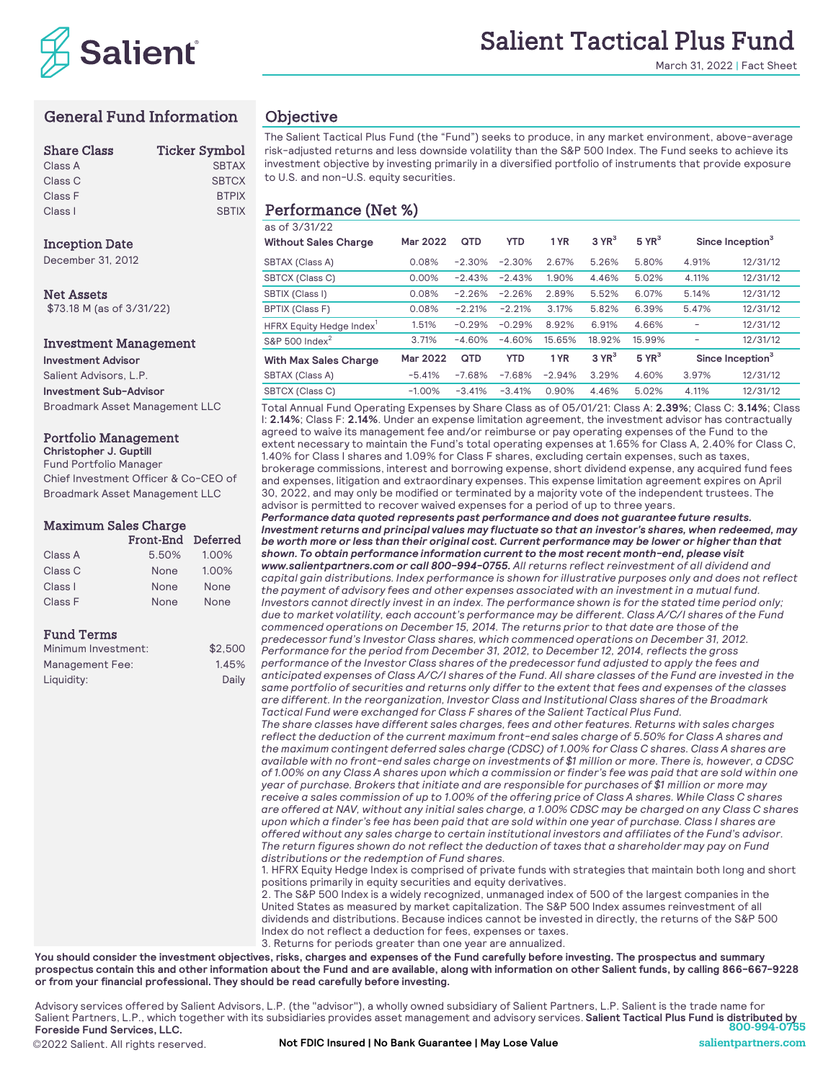

March 31, 2022 | Fact Sheet

# General Fund Information

| <b>Share Class</b> | <b>Ticker Symbol</b> |
|--------------------|----------------------|
| Class A            | <b>SBTAX</b>         |
| Class C            | <b>SBTCX</b>         |
| Class F            | <b>BTPIX</b>         |
| Class I            | <b>SBTIX</b>         |

## **Inception Date**

December 31, 2012

**Net Assets** \$73.18 M (as of 3/31/22)

## Investment Management

**Investment Advisor** Salient Advisors, L.P. **Investment Sub-Advisor** Broadmark Asset Management LLC

## Portfolio Management

**Christopher J. Guptill** Fund Portfolio Manager Chief Investment Officer & Co-CEO of Broadmark Asset Management LLC

## Maximum Sales Charge

|         | Front-End Deferred |       |
|---------|--------------------|-------|
| Class A | 5.50%              | 1.00% |
| Class C | None               | 1.00% |
| Class I | None               | None  |
| Class F | None               | None  |

## Fund Terms

| Minimum Investment: | \$2.500 |
|---------------------|---------|
| Management Fee:     | 1.45%   |
| Liquidity:          | Daily   |

## **Objective**

The Salient Tactical Plus Fund (the "Fund") seeks to produce, in any market environment, above-average risk-adjusted returns and less downside volatility than the S&P 500 Index. The Fund seeks to achieve its investment objective by investing primarily in a diversified portfolio of instruments that provide exposure to U.S. and non-U.S. equity securities.

### $\frac{1}{20}$  of 3/31/33 Performance (Net %)

| <u>ua vi vidir z z</u><br><b>Without Sales Charge</b> | Mar 2022 | QTD      | <b>YTD</b> | 1 YR     | $3$ YR <sup>3</sup> | $5$ YR <sup>3</sup> | Since Inception <sup>3</sup> |          |
|-------------------------------------------------------|----------|----------|------------|----------|---------------------|---------------------|------------------------------|----------|
| <b>SBTAX (Class A)</b>                                | 0.08%    | $-2.30%$ | $-2.30%$   | 2.67%    | 5.26%               | 5.80%               | 4.91%                        | 12/31/12 |
| <b>SBTCX (Class C)</b>                                | 0.00%    | $-2.43%$ | $-2.43%$   | 1.90%    | 4.46%               | 5.02%               | 4.11%                        | 12/31/12 |
| SBTIX (Class I)                                       | 0.08%    | $-2.26%$ | $-2.26%$   | 2.89%    | 5.52%               | 6.07%               | 5.14%                        | 12/31/12 |
| <b>BPTIX (Class F)</b>                                | 0.08%    | $-2.21%$ | $-2.21%$   | 3.17%    | 5.82%               | 6.39%               | 5.47%                        | 12/31/12 |
| HFRX Equity Hedge Index'                              | 1.51%    | $-0.29%$ | $-0.29%$   | 8.92%    | 6.91%               | 4.66%               |                              | 12/31/12 |
| S&P 500 Index $^2$                                    | 3.71%    | $-4.60%$ | $-4.60%$   | 15.65%   | 18.92%              | 15.99%              |                              | 12/31/12 |
| <b>With Max Sales Charge</b>                          | Mar 2022 | QTD      | <b>YTD</b> | 1 YR     | 3 YR <sup>3</sup>   | $5$ YR <sup>3</sup> | Since Inception <sup>3</sup> |          |
| <b>SBTAX (Class A)</b>                                | $-5.41%$ | $-7.68%$ | $-7.68%$   | $-2.94%$ | 3.29%               | 4.60%               | 3.97%                        | 12/31/12 |
| SBTCX (Class C)                                       | $-1.00%$ | $-3.41%$ | $-3.41%$   | 0.90%    | 4.46%               | 5.02%               | 4.11%                        | 12/31/12 |

Total Annual Fund Operating Expenses by Share Class as of 05/01/21: Class A: **2.39%**; Class C: **3.14%**; Class I: **2.14%**; Class F: **2.14%**. Under an expense limitation agreement, the investment advisor has contractually agreed to waive its management fee and/or reimburse or pay operating expenses of the Fund to the extent necessary to maintain the Fund's total operating expenses at 1.65% for Class A, 2.40% for Class C, 1.40% for Class I shares and 1.09% for Class F shares, excluding certain expenses, such as taxes, brokerage commissions, interest and borrowing expense, short dividend expense, any acquired fund fees and expenses, litigation and extraordinary expenses. This expense limitation agreement expires on April 30, 2022, and may only be modified or terminated by a majority vote of the independent trustees. The advisor is permitted to recover waived expenses for a period of up to three years.

*Performance data quoted represents past performance and does not guarantee future results. Investment returns and principal values may fluctuate so that an investor's shares, when redeemed, may be worth more or less than their original cost. Current performance may be lower or higher than that shown. To obtain performance information current to the most recent month-end, please visit www.salientpartners.com or call 800-994-0755. All returns reflect reinvestment of all dividend and capital gain distributions. Index performance is shown for illustrative purposes only and does not reflect the payment of advisory fees and other expenses associated with an investment in a mutual fund. Investors cannot directly invest in an index. The performance shown is for the stated time period only; due to market volatility, each account's performance may be different. Class A/C/I shares of the Fund commenced operations on December 15, 2014. The returns prior to that date are those of the* 

*predecessor fund's Investor Class shares, which commenced operations on December 31, 2012. Performance for the period from December 31, 2012, to December 12, 2014, reflects the gross performance of the Investor Class shares of the predecessor fund adjusted to apply the fees and anticipated expenses of Class A/C/I shares of the Fund. All share classes of the Fund are invested in the same portfolio of securities and returns only differ to the extent that fees and expenses of the classes are different. In the reorganization, Investor Class and Institutional Class shares of the Broadmark Tactical Fund were exchanged for Class F shares of the Salient Tactical Plus Fund.*

*The share classes have different sales charges, fees and other features. Returns with sales charges reflect the deduction of the current maximum front-end sales charge of 5.50% for Class A shares and the maximum contingent deferred sales charge (CDSC) of 1.00% for Class C shares. Class A shares are available with no front-end sales charge on investments of \$1 million or more. There is, however, a CDSC of 1.00% on any Class A shares upon which a commission or finder's fee was paid that are sold within one year of purchase. Brokers that initiate and are responsible for purchases of \$1 million or more may receive a sales commission of up to 1.00% of the offering price of Class A shares. While Class C shares are offered at NAV, without any initial sales charge, a 1.00% CDSC may be charged on any Class C shares upon which a finder's fee has been paid that are sold within one year of purchase. Class I shares are offered without any sales charge to certain institutional investors and affiliates of the Fund's advisor. The return figures shown do not reflect the deduction of taxes that a shareholder may pay on Fund distributions or the redemption of Fund shares.*

1. HFRX Equity Hedge Index is comprised of private funds with strategies that maintain both long and short positions primarily in equity securities and equity derivatives.

2. The S&P 500 Index is a widely recognized, unmanaged index of 500 of the largest companies in the United States as measured by market capitalization. The S&P 500 Index assumes reinvestment of all dividends and distributions. Because indices cannot be invested in directly, the returns of the S&P 500 Index do not reflect a deduction for fees, expenses or taxes.

3. Returns for periods greater than one year are annualized.

**You should consider the investment objectives, risks, charges and expenses of the Fund carefully before investing. The prospectus and summary prospectus contain this and other information about the Fund and are available, along with information on other Salient funds, by calling 866-667-9228 or from your financial professional. They should be read carefully before investing.**

Advisory services offered by Salient Advisors, L.P. (the "advisor"), a wholly owned subsidiary of Salient Partners, L.P. Salient is the trade name for Salient Partners, L.P., which together with its subsidiaries provides asset management and advisory services. **Salient Tactical Plus Fund is distributed by 800-994-0755 Foreside Fund Services, LLC.**